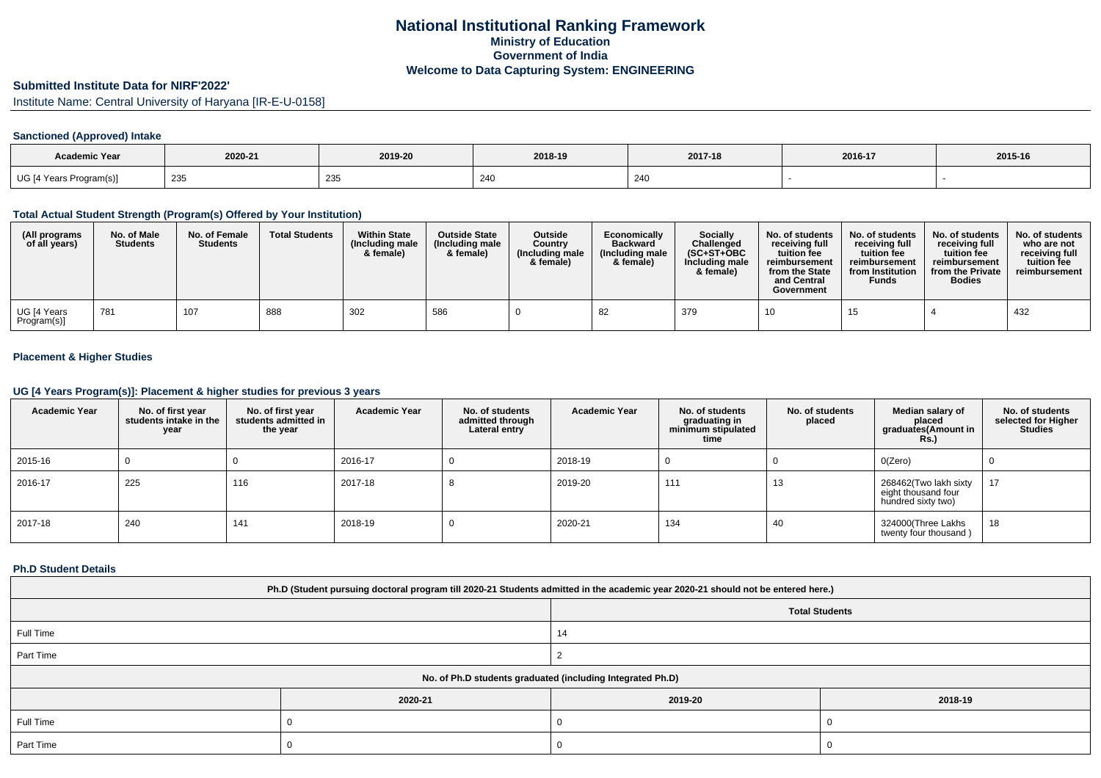# **Submitted Institute Data for NIRF'2022'**

Institute Name: Central University of Haryana [IR-E-U-0158]

## **Sanctioned (Approved) Intake**

| <b>Academic Year</b>    | 2020-21 | 2019-20       | 2018-19 | 2017-18       | 2016-17 | 2015-16 |
|-------------------------|---------|---------------|---------|---------------|---------|---------|
| UG [4 Years Program(s)] | 235     | $\sim$<br>235 | 240     | ን ለ ቦ<br>24 U |         |         |

#### **Total Actual Student Strength (Program(s) Offered by Your Institution)**

| (All programs<br>of all years) | No. of Male<br><b>Students</b> | No. of Female<br><b>Students</b> | <b>Total Students</b> | <b>Within State</b><br>(Including male<br>& female) | <b>Outside State</b><br>(Including male<br>& female) | <b>Outside</b><br>Country<br>(Including male<br>& female) | Economically<br><b>Backward</b><br>(Including male<br>& female) | <b>Socially</b><br>Challenged<br>$(SC+ST+OBC$<br>Including male<br>& female) | No. of students<br>receivina full<br>tuition fee<br>reimbursement<br>from the State<br>and Central<br>Government | No. of students<br>receiving full<br>tuition fee<br>reimbursement<br>from Institution<br><b>Funds</b> | No. of students<br>receiving full<br>tuition fee<br>reimbursement<br>from the Private<br><b>Bodies</b> | No. of students<br>who are not<br>receiving full<br>tuition fee<br>reimbursement |
|--------------------------------|--------------------------------|----------------------------------|-----------------------|-----------------------------------------------------|------------------------------------------------------|-----------------------------------------------------------|-----------------------------------------------------------------|------------------------------------------------------------------------------|------------------------------------------------------------------------------------------------------------------|-------------------------------------------------------------------------------------------------------|--------------------------------------------------------------------------------------------------------|----------------------------------------------------------------------------------|
| UG [4 Years<br>Program(s)]     | 781                            | 107                              | 888                   | 302                                                 | 586                                                  |                                                           | 82                                                              | 379                                                                          |                                                                                                                  | 15                                                                                                    |                                                                                                        | 432                                                                              |

## **Placement & Higher Studies**

#### **UG [4 Years Program(s)]: Placement & higher studies for previous 3 years**

| <b>Academic Year</b> | No. of first year<br>students intake in the<br>year | No. of first vear<br>students admitted in<br>the year | <b>Academic Year</b> | No. of students<br>admitted through<br>Lateral entry | <b>Academic Year</b> | No. of students<br>graduating in<br>minimum stipulated<br>time | No. of students<br>placed | Median salary of<br>placed<br>graduates(Amount in<br><b>Rs.)</b>   | No. of students<br>selected for Higher<br><b>Studies</b> |
|----------------------|-----------------------------------------------------|-------------------------------------------------------|----------------------|------------------------------------------------------|----------------------|----------------------------------------------------------------|---------------------------|--------------------------------------------------------------------|----------------------------------------------------------|
| 2015-16              |                                                     |                                                       | 2016-17              |                                                      | 2018-19              | 0                                                              |                           | O(Zero)                                                            | U                                                        |
| 2016-17              | 225                                                 | 116                                                   | 2017-18              | O                                                    | 2019-20              | 111                                                            | 13                        | 268462(Two lakh sixty<br>eight thousand four<br>hundred sixty two) | 17                                                       |
| 2017-18              | 240                                                 | 141                                                   | 2018-19              |                                                      | 2020-21              | 134                                                            | 40                        | 324000(Three Lakhs<br>twenty four thousand)                        | 18                                                       |

#### **Ph.D Student Details**

| Ph.D (Student pursuing doctoral program till 2020-21 Students admitted in the academic year 2020-21 should not be entered here.) |                                                            |                       |         |  |  |  |  |
|----------------------------------------------------------------------------------------------------------------------------------|------------------------------------------------------------|-----------------------|---------|--|--|--|--|
|                                                                                                                                  |                                                            | <b>Total Students</b> |         |  |  |  |  |
| Full Time                                                                                                                        |                                                            | 14                    |         |  |  |  |  |
| Part Time                                                                                                                        |                                                            |                       |         |  |  |  |  |
|                                                                                                                                  | No. of Ph.D students graduated (including Integrated Ph.D) |                       |         |  |  |  |  |
|                                                                                                                                  | 2020-21                                                    | 2019-20               | 2018-19 |  |  |  |  |
| Full Time                                                                                                                        |                                                            |                       |         |  |  |  |  |
| Part Time                                                                                                                        |                                                            |                       |         |  |  |  |  |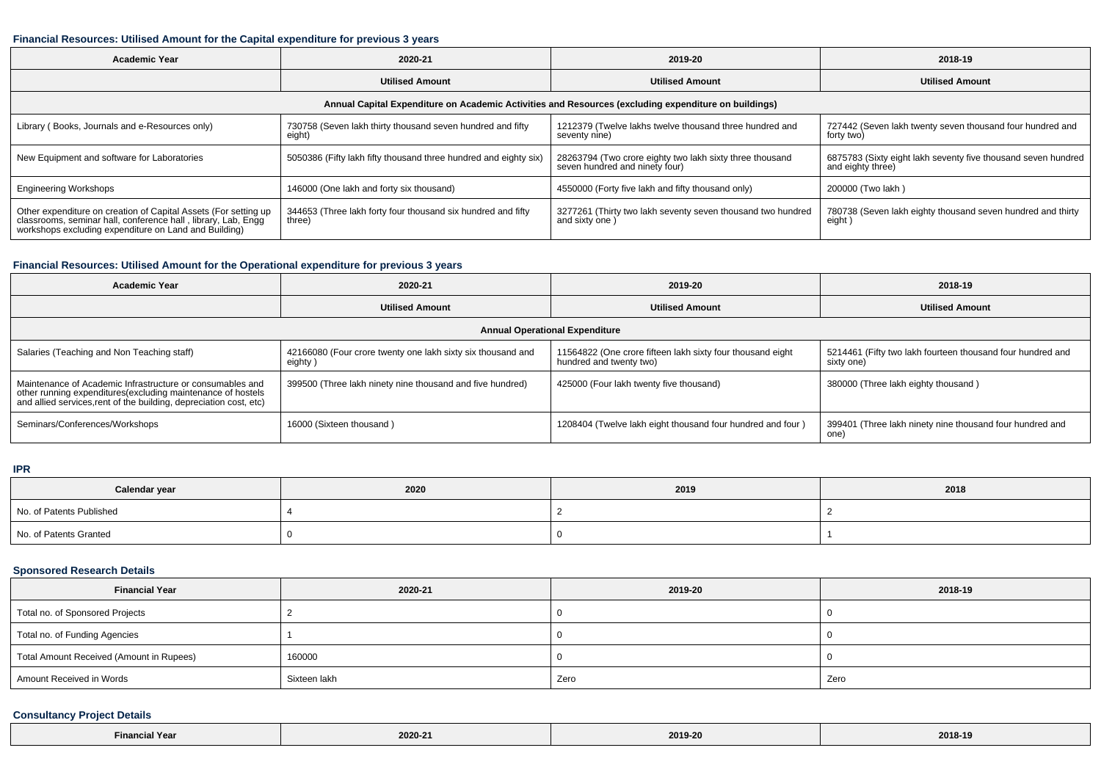### **Financial Resources: Utilised Amount for the Capital expenditure for previous 3 years**

| <b>Academic Year</b>                                                                                                                                                                      | 2020-21                                                                | 2019-20                                                                                    | 2018-19                                                                            |  |  |  |  |  |
|-------------------------------------------------------------------------------------------------------------------------------------------------------------------------------------------|------------------------------------------------------------------------|--------------------------------------------------------------------------------------------|------------------------------------------------------------------------------------|--|--|--|--|--|
|                                                                                                                                                                                           | <b>Utilised Amount</b>                                                 | <b>Utilised Amount</b>                                                                     | <b>Utilised Amount</b>                                                             |  |  |  |  |  |
| Annual Capital Expenditure on Academic Activities and Resources (excluding expenditure on buildings)                                                                                      |                                                                        |                                                                                            |                                                                                    |  |  |  |  |  |
| Library (Books, Journals and e-Resources only)                                                                                                                                            | 730758 (Seven lakh thirty thousand seven hundred and fifty<br>eight)   | 1212379 (Twelve lakhs twelve thousand three hundred and<br>seventy nine)                   | 727442 (Seven lakh twenty seven thousand four hundred and<br>forty two)            |  |  |  |  |  |
| New Equipment and software for Laboratories                                                                                                                                               | 5050386 (Fifty lakh fifty thousand three hundred and eighty six)       | 28263794 (Two crore eighty two lakh sixty three thousand<br>seven hundred and ninety four) | 6875783 (Sixty eight lakh seventy five thousand seven hundred<br>and eighty three) |  |  |  |  |  |
| <b>Engineering Workshops</b>                                                                                                                                                              | 146000 (One lakh and forty six thousand)                               | 4550000 (Forty five lakh and fifty thousand only)                                          | 200000 (Two lakh)                                                                  |  |  |  |  |  |
| Other expenditure on creation of Capital Assets (For setting up<br>classrooms, seminar hall, conference hall, library, Lab, Engg<br>workshops excluding expenditure on Land and Building) | 344653 (Three lakh forty four thousand six hundred and fifty<br>three) | 3277261 (Thirty two lakh seventy seven thousand two hundred<br>and sixty one)              | 780738 (Seven lakh eighty thousand seven hundred and thirty<br>eight)              |  |  |  |  |  |

### **Financial Resources: Utilised Amount for the Operational expenditure for previous 3 years**

| Academic Year                                                                                                                                                                                   | 2020-21                                                                | 2019-20                                                                               | 2018-19                                                                  |  |  |  |  |  |
|-------------------------------------------------------------------------------------------------------------------------------------------------------------------------------------------------|------------------------------------------------------------------------|---------------------------------------------------------------------------------------|--------------------------------------------------------------------------|--|--|--|--|--|
|                                                                                                                                                                                                 | <b>Utilised Amount</b>                                                 | <b>Utilised Amount</b>                                                                | <b>Utilised Amount</b>                                                   |  |  |  |  |  |
| <b>Annual Operational Expenditure</b>                                                                                                                                                           |                                                                        |                                                                                       |                                                                          |  |  |  |  |  |
| Salaries (Teaching and Non Teaching staff)                                                                                                                                                      | 42166080 (Four crore twenty one lakh sixty six thousand and<br>eighty) | 11564822 (One crore fifteen lakh sixty four thousand eight<br>hundred and twenty two) | 5214461 (Fifty two lakh fourteen thousand four hundred and<br>sixty one) |  |  |  |  |  |
| Maintenance of Academic Infrastructure or consumables and<br>other running expenditures (excluding maintenance of hostels<br>and allied services, rent of the building, depreciation cost, etc) | 399500 (Three lakh ninety nine thousand and five hundred)              | 425000 (Four lakh twenty five thousand)                                               | 380000 (Three lakh eighty thousand)                                      |  |  |  |  |  |
| Seminars/Conferences/Workshops                                                                                                                                                                  | 16000 (Sixteen thousand)                                               | 1208404 (Twelve lakh eight thousand four hundred and four)                            | 399401 (Three lakh ninety nine thousand four hundred and<br>one)         |  |  |  |  |  |

**IPR**

| Calendar year            | 2020 | 2019 | 2018 |
|--------------------------|------|------|------|
| No. of Patents Published |      |      |      |
| No. of Patents Granted   |      |      |      |

### **Sponsored Research Details**

| <b>Financial Year</b>                    | 2020-21      | 2019-20 | 2018-19 |
|------------------------------------------|--------------|---------|---------|
| Total no. of Sponsored Projects          |              |         |         |
| Total no. of Funding Agencies            |              |         |         |
| Total Amount Received (Amount in Rupees) | 160000       |         |         |
| Amount Received in Words                 | Sixteen lakh | Zero    | Zero    |

## **Consultancy Project Details**

| Financial Year | 2020-21 | $-2222 - 222$<br>2019-20 | 2018-19 |
|----------------|---------|--------------------------|---------|
|----------------|---------|--------------------------|---------|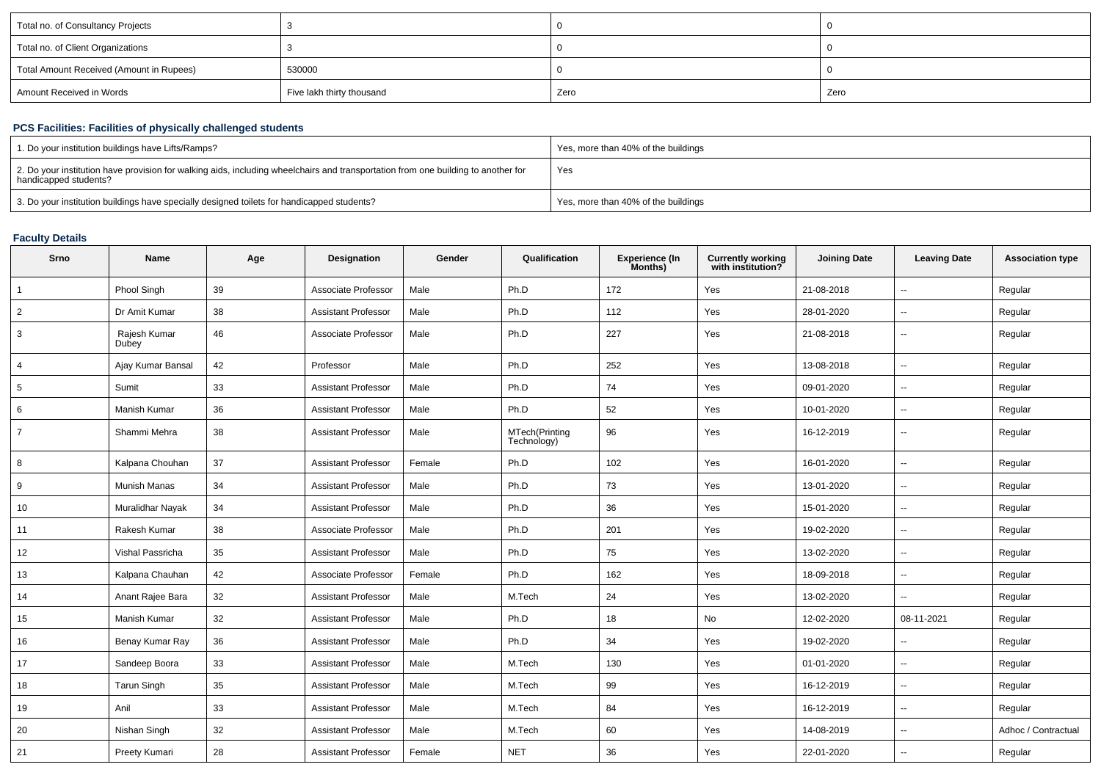| Total no. of Consultancy Projects        |                           |      |      |
|------------------------------------------|---------------------------|------|------|
| Total no. of Client Organizations        |                           |      |      |
| Total Amount Received (Amount in Rupees) | 530000                    |      |      |
| Amount Received in Words                 | Five lakh thirty thousand | Zero | Zero |

## **PCS Facilities: Facilities of physically challenged students**

| 1. Do your institution buildings have Lifts/Ramps?                                                                                                         | Yes, more than 40% of the buildings |
|------------------------------------------------------------------------------------------------------------------------------------------------------------|-------------------------------------|
| 2. Do your institution have provision for walking aids, including wheelchairs and transportation from one building to another for<br>handicapped students? | Yes                                 |
| 3. Do your institution buildings have specially designed toilets for handicapped students?                                                                 | Yes, more than 40% of the buildings |

### **Faculty Details**

| Srno           | Name                  | Age | Designation                | Gender | Qualification                 | <b>Experience (In</b><br>Months) | <b>Currently working</b><br>with institution? | <b>Joining Date</b> | <b>Leaving Date</b>      | <b>Association type</b> |
|----------------|-----------------------|-----|----------------------------|--------|-------------------------------|----------------------------------|-----------------------------------------------|---------------------|--------------------------|-------------------------|
| 1              | Phool Singh           | 39  | Associate Professor        | Male   | Ph.D                          | 172                              | Yes                                           | 21-08-2018          | $\sim$                   | Regular                 |
| $\overline{2}$ | Dr Amit Kumar         | 38  | <b>Assistant Professor</b> | Male   | Ph.D                          | 112                              | Yes                                           | 28-01-2020          | $\sim$                   | Regular                 |
| 3              | Rajesh Kumar<br>Dubey | 46  | Associate Professor        | Male   | Ph.D                          | 227                              | Yes                                           | 21-08-2018          | $\sim$                   | Regular                 |
| 4              | Ajay Kumar Bansal     | 42  | Professor                  | Male   | Ph.D                          | 252                              | Yes                                           | 13-08-2018          | $\sim$                   | Regular                 |
| 5              | Sumit                 | 33  | <b>Assistant Professor</b> | Male   | Ph.D                          | 74                               | Yes                                           | 09-01-2020          | $\sim$                   | Regular                 |
| 6              | Manish Kumar          | 36  | <b>Assistant Professor</b> | Male   | Ph.D                          | 52                               | Yes                                           | 10-01-2020          | $\sim$                   | Regular                 |
|                | Shammi Mehra          | 38  | <b>Assistant Professor</b> | Male   | MTech(Printing<br>Technology) | 96                               | Yes                                           | 16-12-2019          | $\sim$                   | Regular                 |
| 8              | Kalpana Chouhan       | 37  | <b>Assistant Professor</b> | Female | Ph.D                          | 102                              | Yes                                           | 16-01-2020          | $\sim$                   | Regular                 |
| 9              | Munish Manas          | 34  | <b>Assistant Professor</b> | Male   | Ph.D                          | 73                               | Yes                                           | 13-01-2020          | $\sim$                   | Regular                 |
| 10             | Muralidhar Nayak      | 34  | <b>Assistant Professor</b> | Male   | Ph.D                          | 36                               | Yes                                           | 15-01-2020          | $\sim$                   | Regular                 |
| 11             | Rakesh Kumar          | 38  | Associate Professor        | Male   | Ph.D                          | 201                              | Yes                                           | 19-02-2020          | $\sim$                   | Regular                 |
| 12             | Vishal Passricha      | 35  | <b>Assistant Professor</b> | Male   | Ph.D                          | 75                               | Yes                                           | 13-02-2020          | $\sim$                   | Regular                 |
| 13             | Kalpana Chauhan       | 42  | Associate Professor        | Female | Ph.D                          | 162                              | Yes                                           | 18-09-2018          | $\overline{\phantom{a}}$ | Regular                 |
| 14             | Anant Rajee Bara      | 32  | Assistant Professor        | Male   | M.Tech                        | 24                               | Yes                                           | 13-02-2020          | $\sim$                   | Regular                 |
| 15             | Manish Kumar          | 32  | Assistant Professor        | Male   | Ph.D                          | 18                               | No                                            | 12-02-2020          | 08-11-2021               | Regular                 |
| 16             | Benay Kumar Ray       | 36  | <b>Assistant Professor</b> | Male   | Ph.D                          | 34                               | Yes                                           | 19-02-2020          | $\sim$                   | Regular                 |
| 17             | Sandeep Boora         | 33  | <b>Assistant Professor</b> | Male   | M.Tech                        | 130                              | Yes                                           | 01-01-2020          | $\sim$                   | Regular                 |
| 18             | <b>Tarun Singh</b>    | 35  | <b>Assistant Professor</b> | Male   | M.Tech                        | 99                               | Yes                                           | 16-12-2019          | $\sim$                   | Regular                 |
| 19             | Anil                  | 33  | <b>Assistant Professor</b> | Male   | M.Tech                        | 84                               | Yes                                           | 16-12-2019          | $\sim$                   | Regular                 |
| 20             | Nishan Singh          | 32  | <b>Assistant Professor</b> | Male   | M.Tech                        | 60                               | Yes                                           | 14-08-2019          | $\sim$                   | Adhoc / Contractual     |
| 21             | Preety Kumari         | 28  | <b>Assistant Professor</b> | Female | <b>NET</b>                    | 36                               | Yes                                           | 22-01-2020          | $\overline{a}$           | Regular                 |